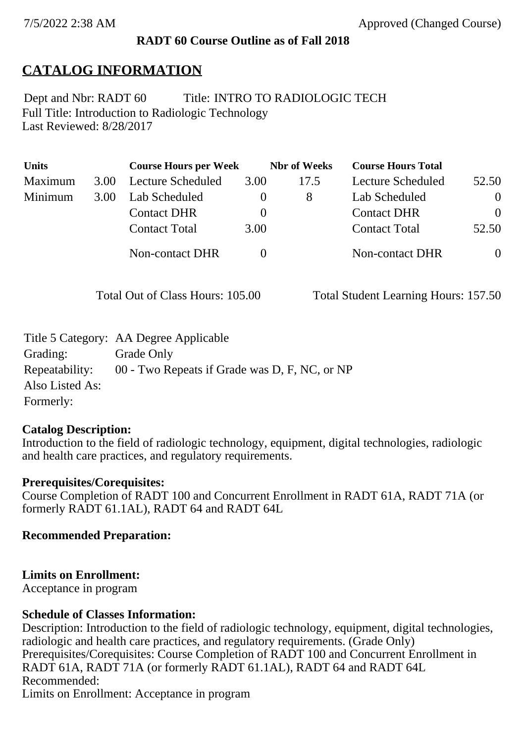#### **RADT 60 Course Outline as of Fall 2018**

## **CATALOG INFORMATION**

Full Title: Introduction to Radiologic Technology Last Reviewed: 8/28/2017 Dept and Nbr: RADT 60 Title: INTRO TO RADIOLOGIC TECH

| <b>Units</b> |      | <b>Course Hours per Week</b> |      | <b>Nbr</b> of Weeks | <b>Course Hours Total</b> |          |
|--------------|------|------------------------------|------|---------------------|---------------------------|----------|
| Maximum      | 3.00 | Lecture Scheduled            | 3.00 | 17.5                | Lecture Scheduled         | 52.50    |
| Minimum      | 3.00 | Lab Scheduled                |      | 8                   | Lab Scheduled             | $\theta$ |
|              |      | <b>Contact DHR</b>           |      |                     | <b>Contact DHR</b>        | $\Omega$ |
|              |      | <b>Contact Total</b>         | 3.00 |                     | <b>Contact Total</b>      | 52.50    |
|              |      | Non-contact DHR              |      |                     | <b>Non-contact DHR</b>    | $\theta$ |

Total Out of Class Hours: 105.00 Total Student Learning Hours: 157.50

|                 | Title 5 Category: AA Degree Applicable        |
|-----------------|-----------------------------------------------|
| Grading:        | Grade Only                                    |
| Repeatability:  | 00 - Two Repeats if Grade was D, F, NC, or NP |
| Also Listed As: |                                               |
| Formerly:       |                                               |

#### **Catalog Description:**

Introduction to the field of radiologic technology, equipment, digital technologies, radiologic and health care practices, and regulatory requirements.

#### **Prerequisites/Corequisites:**

Course Completion of RADT 100 and Concurrent Enrollment in RADT 61A, RADT 71A (or formerly RADT 61.1AL), RADT 64 and RADT 64L

**Recommended Preparation:**

#### **Limits on Enrollment:**

Acceptance in program

#### **Schedule of Classes Information:**

Description: Introduction to the field of radiologic technology, equipment, digital technologies, radiologic and health care practices, and regulatory requirements. (Grade Only) Prerequisites/Corequisites: Course Completion of RADT 100 and Concurrent Enrollment in RADT 61A, RADT 71A (or formerly RADT 61.1AL), RADT 64 and RADT 64L Recommended: Limits on Enrollment: Acceptance in program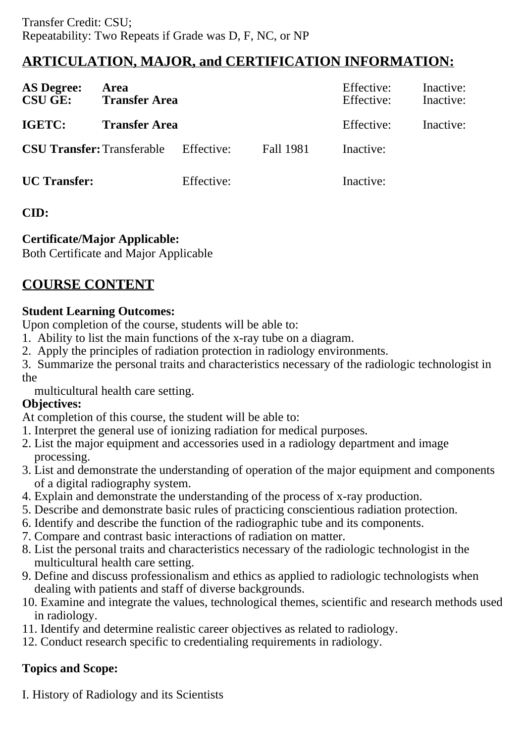# **ARTICULATION, MAJOR, and CERTIFICATION INFORMATION:**

| <b>AS Degree:</b><br><b>CSU GE:</b> | Area<br><b>Transfer Area</b> |            |           | Effective:<br>Effective: | Inactive:<br>Inactive: |
|-------------------------------------|------------------------------|------------|-----------|--------------------------|------------------------|
| <b>IGETC:</b>                       | <b>Transfer Area</b>         |            |           | Effective:               | Inactive:              |
| <b>CSU Transfer: Transferable</b>   |                              | Effective: | Fall 1981 | Inactive:                |                        |
| <b>UC</b> Transfer:                 |                              | Effective: |           | Inactive:                |                        |

## **CID:**

## **Certificate/Major Applicable:**

[Both Certificate and Major Applicable](SR_ClassCheck.aspx?CourseKey=RADT60)

# **COURSE CONTENT**

## **Student Learning Outcomes:**

Upon completion of the course, students will be able to:

- 1. Ability to list the main functions of the x-ray tube on a diagram.
- 2. Apply the principles of radiation protection in radiology environments.
- 3. Summarize the personal traits and characteristics necessary of the radiologic technologist in the

multicultural health care setting.

## **Objectives:**

At completion of this course, the student will be able to:

- 1. Interpret the general use of ionizing radiation for medical purposes.
- 2. List the major equipment and accessories used in a radiology department and image processing.
- 3. List and demonstrate the understanding of operation of the major equipment and components of a digital radiography system.
- 4. Explain and demonstrate the understanding of the process of x-ray production.
- 5. Describe and demonstrate basic rules of practicing conscientious radiation protection.
- 6. Identify and describe the function of the radiographic tube and its components.
- 7. Compare and contrast basic interactions of radiation on matter.
- 8. List the personal traits and characteristics necessary of the radiologic technologist in the multicultural health care setting.
- 9. Define and discuss professionalism and ethics as applied to radiologic technologists when dealing with patients and staff of diverse backgrounds.
- 10. Examine and integrate the values, technological themes, scientific and research methods used in radiology.
- 11. Identify and determine realistic career objectives as related to radiology.
- 12. Conduct research specific to credentialing requirements in radiology.

## **Topics and Scope:**

I. History of Radiology and its Scientists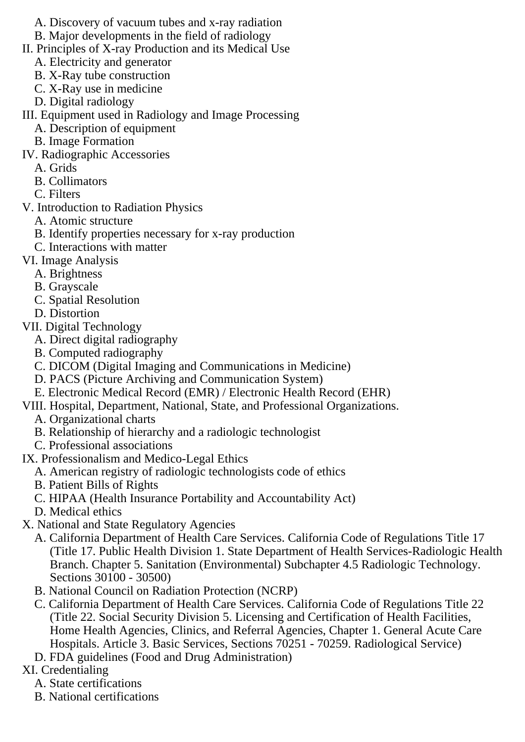- A. Discovery of vacuum tubes and x-ray radiation
- B. Major developments in the field of radiology
- II. Principles of X-ray Production and its Medical Use
	- A. Electricity and generator
	- B. X-Ray tube construction
	- C. X-Ray use in medicine
	- D. Digital radiology

III. Equipment used in Radiology and Image Processing

- A. Description of equipment
- B. Image Formation
- IV. Radiographic Accessories
	- A. Grids
	- B. Collimators
	- C. Filters
- V. Introduction to Radiation Physics
	- A. Atomic structure
	- B. Identify properties necessary for x-ray production
	- C. Interactions with matter
- VI. Image Analysis
	- A. Brightness
	- B. Grayscale
	- C. Spatial Resolution
	- D. Distortion
- VII. Digital Technology
	- A. Direct digital radiography
	- B. Computed radiography
	- C. DICOM (Digital Imaging and Communications in Medicine)
	- D. PACS (Picture Archiving and Communication System)
	- E. Electronic Medical Record (EMR) / Electronic Health Record (EHR)
- VIII. Hospital, Department, National, State, and Professional Organizations.
	- A. Organizational charts
	- B. Relationship of hierarchy and a radiologic technologist
	- C. Professional associations
- IX. Professionalism and Medico-Legal Ethics
	- A. American registry of radiologic technologists code of ethics
	- B. Patient Bills of Rights
	- C. HIPAA (Health Insurance Portability and Accountability Act)
	- D. Medical ethics
- X. National and State Regulatory Agencies
	- A. California Department of Health Care Services. California Code of Regulations Title 17 (Title 17. Public Health Division 1. State Department of Health Services-Radiologic Health Branch. Chapter 5. Sanitation (Environmental) Subchapter 4.5 Radiologic Technology. Sections 30100 - 30500)
	- B. National Council on Radiation Protection (NCRP)
	- C. California Department of Health Care Services. California Code of Regulations Title 22 (Title 22. Social Security Division 5. Licensing and Certification of Health Facilities, Home Health Agencies, Clinics, and Referral Agencies, Chapter 1. General Acute Care Hospitals. Article 3. Basic Services, Sections 70251 - 70259. Radiological Service)
	- D. FDA guidelines (Food and Drug Administration)
- XI. Credentialing
	- A. State certifications
	- B. National certifications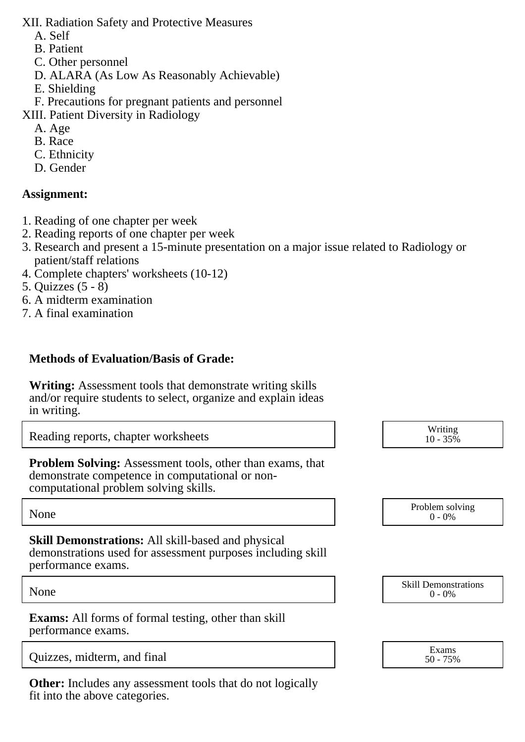XII. Radiation Safety and Protective Measures

- A. Self
- B. Patient
- C. Other personnel
- D. ALARA (As Low As Reasonably Achievable)
- E. Shielding
- F. Precautions for pregnant patients and personnel
- XIII. Patient Diversity in Radiology
	- A. Age
	- B. Race
	- C. Ethnicity
	- D. Gender

### **Assignment:**

- 1. Reading of one chapter per week
- 2. Reading reports of one chapter per week
- 3. Research and present a 15-minute presentation on a major issue related to Radiology or patient/staff relations
- 4. Complete chapters' worksheets (10-12)
- 5. Quizzes (5 8)
- 6. A midterm examination
- 7. A final examination

### **Methods of Evaluation/Basis of Grade:**

**Writing:** Assessment tools that demonstrate writing skills and/or require students to select, organize and explain ideas in writing.

Reading reports, chapter worksheets

**Problem Solving:** Assessment tools, other than exams, that demonstrate competence in computational or noncomputational problem solving skills.

**Skill Demonstrations:** All skill-based and physical demonstrations used for assessment purposes including skill performance exams.

**Exams:** All forms of formal testing, other than skill performance exams.

|                             | Exams |
|-----------------------------|-------|
| Quizzes, midterm, and final | 759   |

**Other:** Includes any assessment tools that do not logically fit into the above categories.

| Writing<br>$10 - 35\%$ |
|------------------------|
|                        |

None Problem solving and the Problem solving problem solving and the Problem solving problem solving  $0 - 0\%$  $0 - 0\%$ 

None Skill Demonstrations<br>  $\begin{array}{c} \text{Skill,} \\ 0 \text{ - } 0\% \end{array}$  $0 - 0\%$